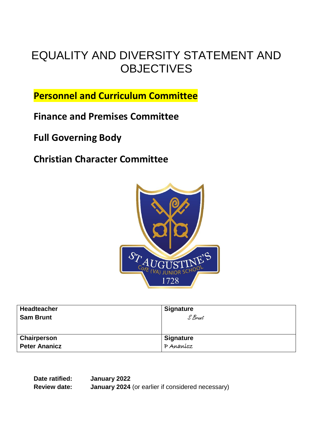# EQUALITY AND DIVERSITY STATEMENT AND **OBJECTIVES**

**Personnel and Curriculum Committee**

**Finance and Premises Committee**

**Full Governing Body** 

**Christian Character Committee**



| Headteacher<br><b>Sam Brunt</b> | <b>Signature</b><br>S Brunt |
|---------------------------------|-----------------------------|
|                                 |                             |
| Chairperson                     | <b>Signature</b>            |
| <b>Peter Ananicz</b>            | $P$ Ananícz                 |

**Date ratified: January 2022 Review date: January 2024** (or earlier if considered necessary)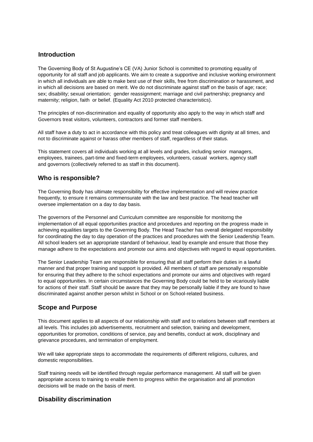#### **Introduction**

The Governing Body of St Augustine's CE (VA) Junior School is committed to promoting equality of opportunity for all staff and job applicants. We aim to create a supportive and inclusive working environment in which all individuals are able to make best use of their skills, free from discrimination or harassment, and in which all decisions are based on merit. We do not discriminate against staff on the basis of age; race; sex; disability; sexual orientation; gender reassignment; marriage and civil partnership; pregnancy and maternity; religion, faith or belief. (Equality Act 2010 protected characteristics).

The principles of non-discrimination and equality of opportunity also apply to the way in which staff and Governors treat visitors, volunteers, contractors and former staff members.

All staff have a duty to act in accordance with this policy and treat colleagues with dignity at all times, and not to discriminate against or harass other members of staff, regardless of their status.

This statement covers all individuals working at all levels and grades, including senior managers, employees, trainees, part-time and fixed-term employees, volunteers, casual workers, agency staff and governors (collectively referred to as staff in this document).

#### **Who is responsible?**

The Governing Body has ultimate responsibility for effective implementation and will review practice frequently, to ensure it remains commensurate with the law and best practice. The head teacher will oversee implementation on a day to day basis.

The governors of the Personnel and Curriculum committee are responsible for monitorng the implementation of all equal opportunities practice and procedures and reporting on the progress made in achieving equalities targets to the Governing Body. The Head Teacher has overall delegated responsibility for coordinating the day to day operation of the practices and procedures with the Senior Leadership Team. All school leaders set an appropriate standard of behaviour, lead by example and ensure that those they manage adhere to the expectations and promote our aims and objectives with regard to equal opportunities.

The Senior Leadership Team are responsible for ensuring that all staff perform their duties in a lawful manner and that proper training and support is provided. All members of staff are personally responsible for ensuring that they adhere to the school expectations and promote our aims and objectives with regard to equal opportunities. In certain circumstances the Governing Body could be held to be vicariously liable for actions of their staff. Staff should be aware that they may be personally liable if they are found to have discriminated against another person whilst in School or on School-related business.

#### **Scope and Purpose**

This document applies to all aspects of our relationship with staff and to relations between staff members at all levels. This includes job advertisements, recruitment and selection, training and development, opportunities for promotion, conditions of service, pay and benefits, conduct at work, disciplinary and grievance procedures, and termination of employment.

We will take appropriate steps to accommodate the requirements of different religions, cultures, and domestic responsibilities.

Staff training needs will be identified through regular performance management. All staff will be given appropriate access to training to enable them to progress within the organisation and all promotion decisions will be made on the basis of merit.

#### **Disability discrimination**